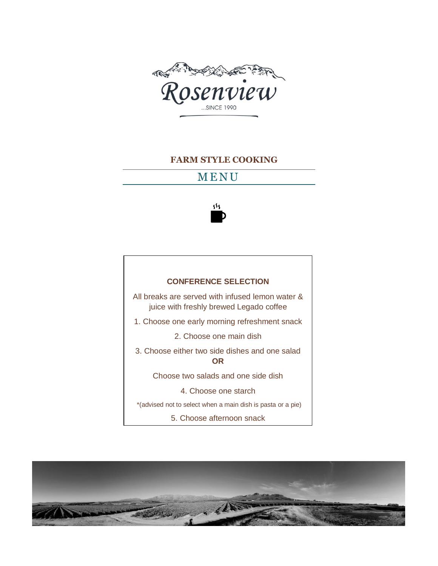

#### **FARM STYLE COOKING**

## **MENU**



#### **CONFERENCE SELECTION**

All breaks are served with infused lemon water & juice with freshly brewed Legado coffee

1. Choose one early morning refreshment snack

2. Choose one main dish

3. Choose either two side dishes and one salad **OR**

Choose two salads and one side dish

4. Choose one starch

\*(advised not to select when a main dish is pasta or a pie)

5. Choose afternoon snack

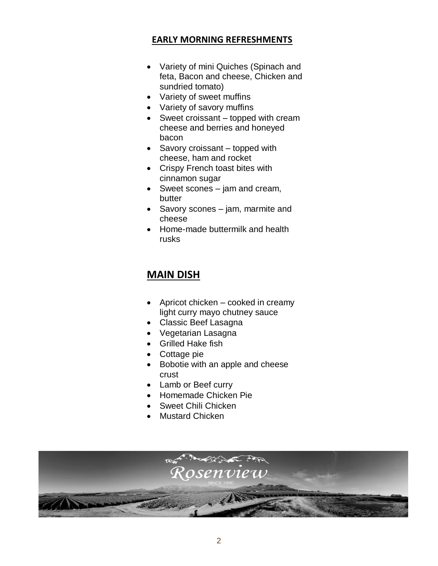## **EARLY MORNING REFRESHMENTS**

- Variety of mini Quiches (Spinach and feta, Bacon and cheese, Chicken and sundried tomato)
- Variety of sweet muffins
- Variety of savory muffins
- Sweet croissant topped with cream cheese and berries and honeyed bacon
- Savory croissant topped with cheese, ham and rocket
- Crispy French toast bites with cinnamon sugar
- Sweet scones jam and cream, butter
- Savory scones jam, marmite and cheese
- Home-made buttermilk and health rusks

# **MAIN DISH**

- Apricot chicken cooked in creamy light curry mayo chutney sauce
- Classic Beef Lasagna
- Vegetarian Lasagna
- Grilled Hake fish
- Cottage pie
- Bobotie with an apple and cheese crust
- Lamb or Beef curry
- Homemade Chicken Pie
- Sweet Chili Chicken
- Mustard Chicken

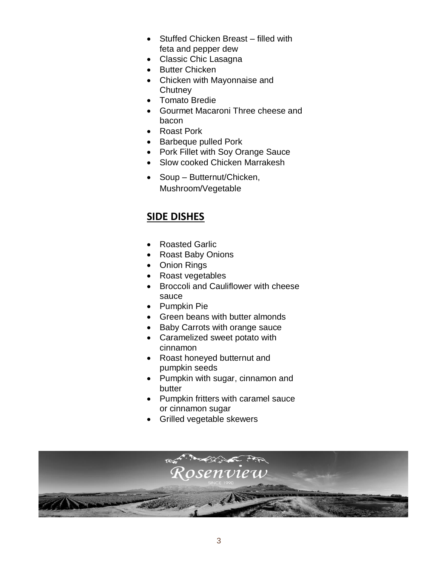- Stuffed Chicken Breast filled with feta and pepper dew
- Classic Chic Lasagna
- Butter Chicken
- Chicken with Mayonnaise and **Chutney**
- Tomato Bredie
- Gourmet Macaroni Three cheese and bacon
- Roast Pork
- Barbeque pulled Pork
- Pork Fillet with Soy Orange Sauce
- Slow cooked Chicken Marrakesh
- Soup Butternut/Chicken, Mushroom/Vegetable

# **SIDE DISHES**

- Roasted Garlic
- Roast Baby Onions
- Onion Rings
- Roast vegetables
- Broccoli and Cauliflower with cheese sauce
- Pumpkin Pie
- Green beans with butter almonds
- Baby Carrots with orange sauce
- Caramelized sweet potato with cinnamon
- Roast honeyed butternut and pumpkin seeds
- Pumpkin with sugar, cinnamon and butter
- Pumpkin fritters with caramel sauce or cinnamon sugar
- Grilled vegetable skewers

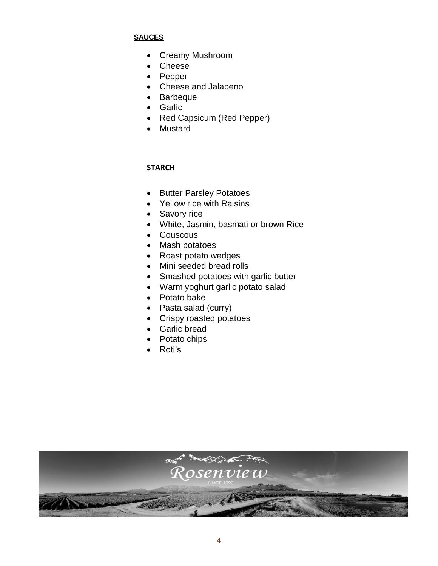#### **SAUCES**

- Creamy Mushroom
- Cheese
- Pepper
- Cheese and Jalapeno
- Barbeque
- Garlic
- Red Capsicum (Red Pepper)
- Mustard

### **STARCH**

- Butter Parsley Potatoes
- Yellow rice with Raisins
- Savory rice
- White, Jasmin, basmati or brown Rice
- Couscous
- Mash potatoes
- Roast potato wedges
- Mini seeded bread rolls
- Smashed potatoes with garlic butter
- Warm yoghurt garlic potato salad
- Potato bake
- Pasta salad (curry)
- Crispy roasted potatoes
- Garlic bread
- Potato chips
- Roti's

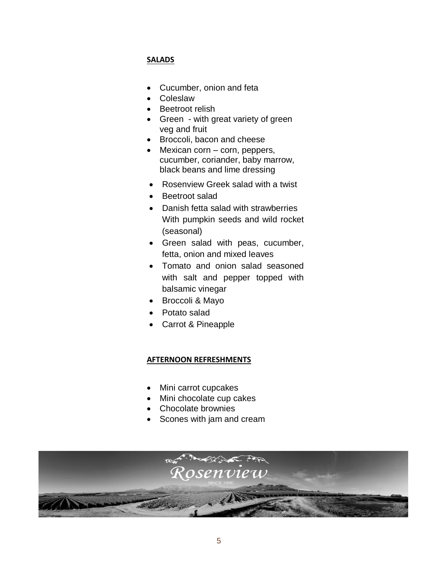### **SALADS**

- Cucumber, onion and feta
- Coleslaw
- Beetroot relish
- Green with great variety of green veg and fruit
- Broccoli, bacon and cheese
- Mexican corn corn, peppers, cucumber, coriander, baby marrow, black beans and lime dressing
- Rosenview Greek salad with a twist
- Beetroot salad
- Danish fetta salad with strawberries With pumpkin seeds and wild rocket (seasonal)
- Green salad with peas, cucumber, fetta, onion and mixed leaves
- Tomato and onion salad seasoned with salt and pepper topped with balsamic vinegar
- Broccoli & Mayo
- Potato salad
- Carrot & Pineapple

#### **AFTERNOON REFRESHMENTS**

- Mini carrot cupcakes
- Mini chocolate cup cakes
- Chocolate brownies
- Scones with jam and cream

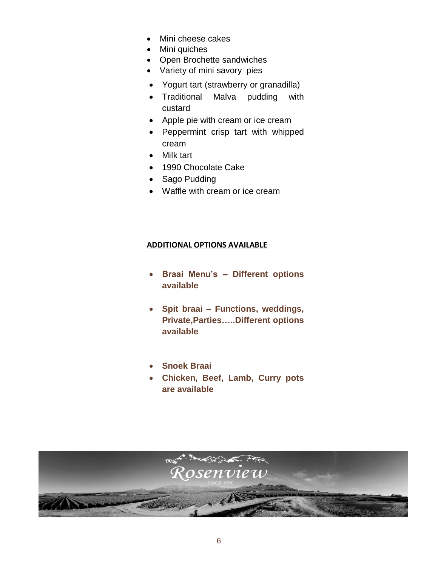- Mini cheese cakes
- Mini quiches
- Open Brochette sandwiches
- Variety of mini savory pies
- Yogurt tart (strawberry or granadilla)
- Traditional Malva pudding with custard
- Apple pie with cream or ice cream
- Peppermint crisp tart with whipped cream
- Milk tart
- 1990 Chocolate Cake
- Sago Pudding
- Waffle with cream or ice cream

#### **ADDITIONAL OPTIONS AVAILABLE**

- **Braai Menu's – Different options available**
- **Spit braai – Functions, weddings, Private,Parties…..Different options available**
- **Snoek Braai**
- **Chicken, Beef, Lamb, Curry pots are available**